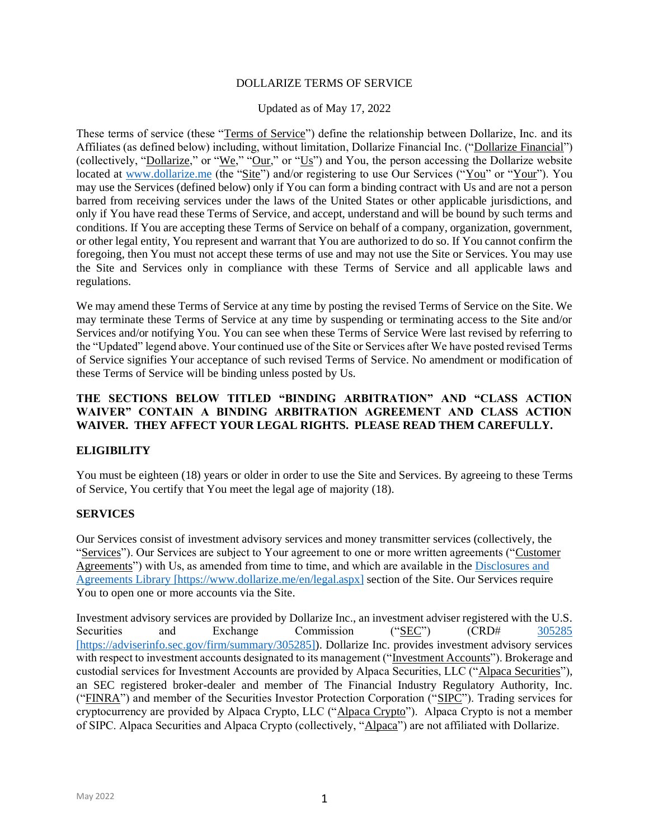#### DOLLARIZE TERMS OF SERVICE

#### Updated as of May 17, 2022

These terms of service (these "Terms of Service") define the relationship between Dollarize, Inc. and its Affiliates (as defined below) including, without limitation, Dollarize Financial Inc. ("Dollarize Financial") (collectively, "<u>Dollarize</u>," or "<u>We</u>," " $\overline{\text{Our}}$ ," or " $\underline{\text{Us}}$ ") and You, the person accessing the Dollarize website located at [www.dollarize.me](https://www.dollarize.me/) (the "Site") and/or registering to use Our Services ("You" or "Your"). You may use the Services (defined below) only if You can form a binding contract with Us and are not a person barred from receiving services under the laws of the United States or other applicable jurisdictions, and only if You have read these Terms of Service, and accept, understand and will be bound by such terms and conditions. If You are accepting these Terms of Service on behalf of a company, organization, government, or other legal entity, You represent and warrant that You are authorized to do so. If You cannot confirm the foregoing, then You must not accept these terms of use and may not use the Site or Services. You may use the Site and Services only in compliance with these Terms of Service and all applicable laws and regulations.

We may amend these Terms of Service at any time by posting the revised Terms of Service on the Site. We may terminate these Terms of Service at any time by suspending or terminating access to the Site and/or Services and/or notifying You. You can see when these Terms of Service Were last revised by referring to the "Updated" legend above. Your continued use of the Site or Services after We have posted revised Terms of Service signifies Your acceptance of such revised Terms of Service. No amendment or modification of these Terms of Service will be binding unless posted by Us.

#### **THE SECTIONS BELOW TITLED "BINDING ARBITRATION" AND "CLASS ACTION WAIVER" CONTAIN A BINDING ARBITRATION AGREEMENT AND CLASS ACTION WAIVER. THEY AFFECT YOUR LEGAL RIGHTS. PLEASE READ THEM CAREFULLY.**

### **ELIGIBILITY**

You must be eighteen (18) years or older in order to use the Site and Services. By agreeing to these Terms of Service, You certify that You meet the legal age of majority (18).

### **SERVICES**

Our Services consist of investment advisory services and money transmitter services (collectively, the "Services"). Our Services are subject to Your agreement to one or more written agreements ("Customer" Agreements") with Us, as amended from time to time, and which are available in the Disclosures and [Agreements Library](https://www.dollarize.me/en/legal.aspx) [https://www.dollarize.me/en/legal.aspx] section of the Site. Our Services require You to open one or more accounts via the Site.

Investment advisory services are provided by Dollarize Inc., an investment adviser registered with the U.S. Securities and Exchange Commission ("SEC") (CRD# 305285 [https://adviserinfo.sec.gov/firm/summary/305285]). Dollarize Inc. provides investment advisory services with respect to investment accounts designated to its management ("Investment Accounts"). Brokerage and custodial services for Investment Accounts are provided by Alpaca Securities, LLC ("Alpaca Securities"), an SEC registered broker-dealer and member of The Financial Industry Regulatory Authority, Inc. ("FINRA") and member of the Securities Investor Protection Corporation ("SIPC"). Trading services for cryptocurrency are provided by Alpaca Crypto, LLC ("Alpaca Crypto"). Alpaca Crypto is not a member of SIPC. Alpaca Securities and Alpaca Crypto (collectively, "Alpaca") are not affiliated with Dollarize.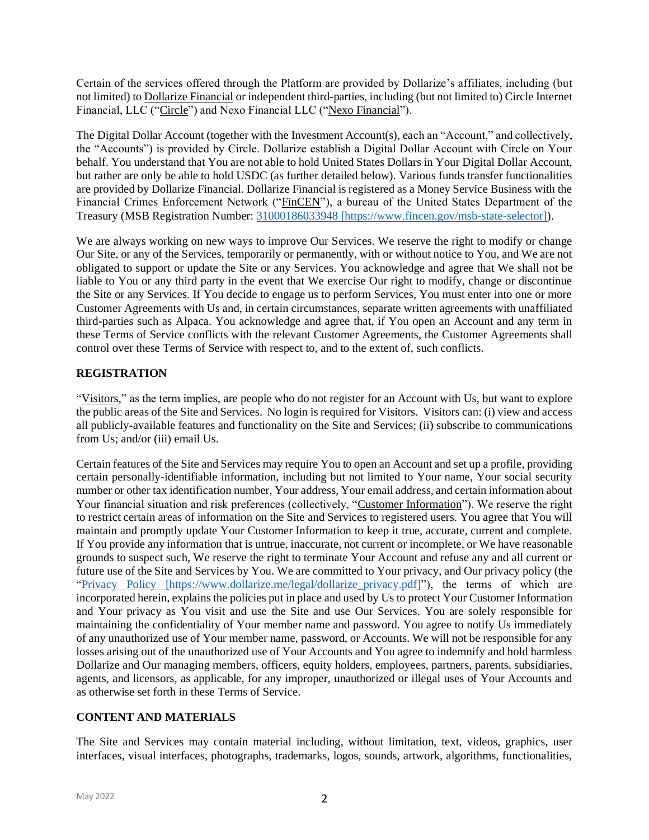Certain of the services offered through the Platform are provided by Dollarize's affiliates, including (but not limited) to Dollarize Financial or independent third-parties, including (but not limited to) Circle Internet Financial, LLC ("Circle") and Nexo Financial LLC ("Nexo Financial").

The Digital Dollar Account (together with the Investment Account(s), each an "Account," and collectively, the "Accounts") is provided by Circle. Dollarize establish a Digital Dollar Account with Circle on Your behalf. You understand that You are not able to hold United States Dollars in Your Digital Dollar Account, but rather are only be able to hold USDC (as further detailed below). Various funds transfer functionalities are provided by Dollarize Financial. Dollarize Financial is registered as a Money Service Business with the Financial Crimes Enforcement Network ("FinCEN"), a bureau of the United States Department of the Treasury (MSB Registration Number: [31000186033948](https://www.fincen.gov/msb-state-selector) [https://www.fincen.gov/msb-state-selector]).

We are always working on new ways to improve Our Services. We reserve the right to modify or change Our Site, or any of the Services, temporarily or permanently, with or without notice to You, and We are not obligated to support or update the Site or any Services. You acknowledge and agree that We shall not be liable to You or any third party in the event that We exercise Our right to modify, change or discontinue the Site or any Services. If You decide to engage us to perform Services, You must enter into one or more Customer Agreements with Us and, in certain circumstances, separate written agreements with unaffiliated third-parties such as Alpaca. You acknowledge and agree that, if You open an Account and any term in these Terms of Service conflicts with the relevant Customer Agreements, the Customer Agreements shall control over these Terms of Service with respect to, and to the extent of, such conflicts.

# **REGISTRATION**

"Visitors," as the term implies, are people who do not register for an Account with Us, but want to explore the public areas of the Site and Services. No login is required for Visitors. Visitors can: (i) view and access all publicly-available features and functionality on the Site and Services; (ii) subscribe to communications from Us; and/or (iii) email Us.

Certain features of the Site and Services may require You to open an Account and set up a profile, providing certain personally-identifiable information, including but not limited to Your name, Your social security number or other tax identification number, Your address, Your email address, and certain information about Your financial situation and risk preferences (collectively, "Customer Information"). We reserve the right to restrict certain areas of information on the Site and Services to registered users. You agree that You will maintain and promptly update Your Customer Information to keep it true, accurate, current and complete. If You provide any information that is untrue, inaccurate, not current or incomplete, or We have reasonable grounds to suspect such, We reserve the right to terminate Your Account and refuse any and all current or future use of the Site and Services by You. We are committed to Your privacy, and Our privacy policy (the ["Privacy Policy](https://www.dollarize.me/legal/dollarize_privacy.pdf) [https://www.dollarize.me/legal/dollarize\_privacy.pdf]"), the terms of which are incorporated herein, explains the policies put in place and used by Us to protect Your Customer Information and Your privacy as You visit and use the Site and use Our Services. You are solely responsible for maintaining the confidentiality of Your member name and password. You agree to notify Us immediately of any unauthorized use of Your member name, password, or Accounts. We will not be responsible for any losses arising out of the unauthorized use of Your Accounts and You agree to indemnify and hold harmless Dollarize and Our managing members, officers, equity holders, employees, partners, parents, subsidiaries, agents, and licensors, as applicable, for any improper, unauthorized or illegal uses of Your Accounts and as otherwise set forth in these Terms of Service.

# **CONTENT AND MATERIALS**

The Site and Services may contain material including, without limitation, text, videos, graphics, user interfaces, visual interfaces, photographs, trademarks, logos, sounds, artwork, algorithms, functionalities,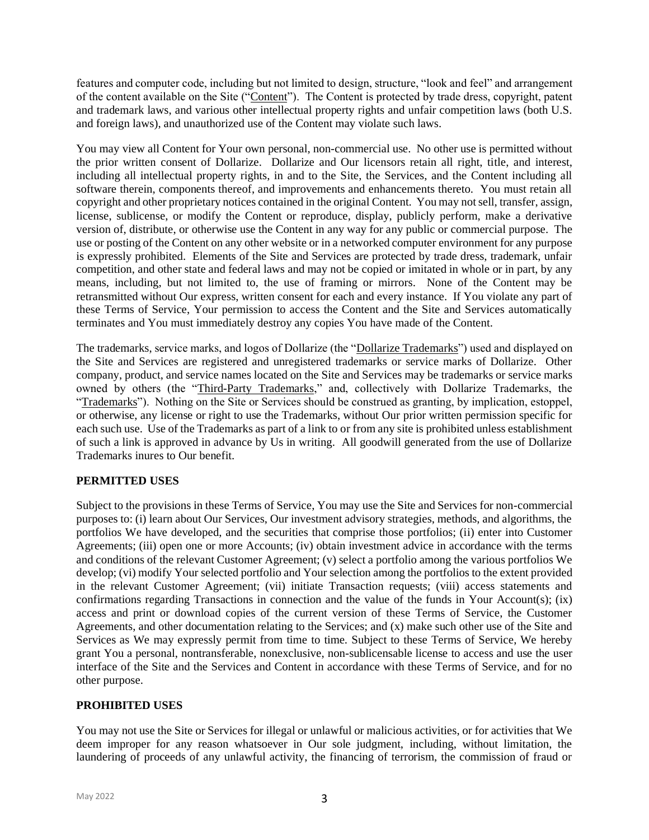features and computer code, including but not limited to design, structure, "look and feel" and arrangement of the content available on the Site ("Content"). The Content is protected by trade dress, copyright, patent and trademark laws, and various other intellectual property rights and unfair competition laws (both U.S. and foreign laws), and unauthorized use of the Content may violate such laws.

You may view all Content for Your own personal, non-commercial use. No other use is permitted without the prior written consent of Dollarize. Dollarize and Our licensors retain all right, title, and interest, including all intellectual property rights, in and to the Site, the Services, and the Content including all software therein, components thereof, and improvements and enhancements thereto. You must retain all copyright and other proprietary notices contained in the original Content. You may not sell, transfer, assign, license, sublicense, or modify the Content or reproduce, display, publicly perform, make a derivative version of, distribute, or otherwise use the Content in any way for any public or commercial purpose. The use or posting of the Content on any other website or in a networked computer environment for any purpose is expressly prohibited. Elements of the Site and Services are protected by trade dress, trademark, unfair competition, and other state and federal laws and may not be copied or imitated in whole or in part, by any means, including, but not limited to, the use of framing or mirrors. None of the Content may be retransmitted without Our express, written consent for each and every instance. If You violate any part of these Terms of Service, Your permission to access the Content and the Site and Services automatically terminates and You must immediately destroy any copies You have made of the Content.

The trademarks, service marks, and logos of Dollarize (the "Dollarize Trademarks") used and displayed on the Site and Services are registered and unregistered trademarks or service marks of Dollarize. Other company, product, and service names located on the Site and Services may be trademarks or service marks owned by others (the "Third-Party Trademarks," and, collectively with Dollarize Trademarks, the "Trademarks"). Nothing on the Site or Services should be construed as granting, by implication, estoppel, or otherwise, any license or right to use the Trademarks, without Our prior written permission specific for each such use. Use of the Trademarks as part of a link to or from any site is prohibited unless establishment of such a link is approved in advance by Us in writing. All goodwill generated from the use of Dollarize Trademarks inures to Our benefit.

# **PERMITTED USES**

Subject to the provisions in these Terms of Service, You may use the Site and Services for non-commercial purposes to: (i) learn about Our Services, Our investment advisory strategies, methods, and algorithms, the portfolios We have developed, and the securities that comprise those portfolios; (ii) enter into Customer Agreements; (iii) open one or more Accounts; (iv) obtain investment advice in accordance with the terms and conditions of the relevant Customer Agreement; (v) select a portfolio among the various portfolios We develop; (vi) modify Your selected portfolio and Your selection among the portfolios to the extent provided in the relevant Customer Agreement; (vii) initiate Transaction requests; (viii) access statements and confirmations regarding Transactions in connection and the value of the funds in Your Account(s); (ix) access and print or download copies of the current version of these Terms of Service, the Customer Agreements, and other documentation relating to the Services; and (x) make such other use of the Site and Services as We may expressly permit from time to time. Subject to these Terms of Service, We hereby grant You a personal, nontransferable, nonexclusive, non-sublicensable license to access and use the user interface of the Site and the Services and Content in accordance with these Terms of Service, and for no other purpose.

# **PROHIBITED USES**

You may not use the Site or Services for illegal or unlawful or malicious activities, or for activities that We deem improper for any reason whatsoever in Our sole judgment, including, without limitation, the laundering of proceeds of any unlawful activity, the financing of terrorism, the commission of fraud or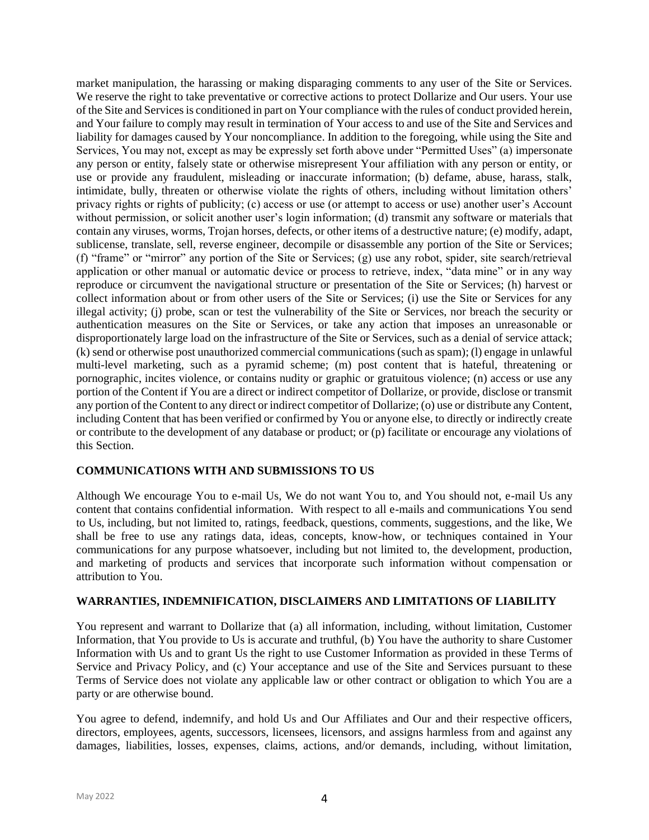market manipulation, the harassing or making disparaging comments to any user of the Site or Services. We reserve the right to take preventative or corrective actions to protect Dollarize and Our users. Your use of the Site and Services is conditioned in part on Your compliance with the rules of conduct provided herein, and Your failure to comply may result in termination of Your access to and use of the Site and Services and liability for damages caused by Your noncompliance. In addition to the foregoing, while using the Site and Services, You may not, except as may be expressly set forth above under "Permitted Uses" (a) impersonate any person or entity, falsely state or otherwise misrepresent Your affiliation with any person or entity, or use or provide any fraudulent, misleading or inaccurate information; (b) defame, abuse, harass, stalk, intimidate, bully, threaten or otherwise violate the rights of others, including without limitation others' privacy rights or rights of publicity; (c) access or use (or attempt to access or use) another user's Account without permission, or solicit another user's login information; (d) transmit any software or materials that contain any viruses, worms, Trojan horses, defects, or other items of a destructive nature; (e) modify, adapt, sublicense, translate, sell, reverse engineer, decompile or disassemble any portion of the Site or Services; (f) "frame" or "mirror" any portion of the Site or Services; (g) use any robot, spider, site search/retrieval application or other manual or automatic device or process to retrieve, index, "data mine" or in any way reproduce or circumvent the navigational structure or presentation of the Site or Services; (h) harvest or collect information about or from other users of the Site or Services; (i) use the Site or Services for any illegal activity; (j) probe, scan or test the vulnerability of the Site or Services, nor breach the security or authentication measures on the Site or Services, or take any action that imposes an unreasonable or disproportionately large load on the infrastructure of the Site or Services, such as a denial of service attack; (k) send or otherwise post unauthorized commercial communications (such as spam); (l) engage in unlawful multi-level marketing, such as a pyramid scheme; (m) post content that is hateful, threatening or pornographic, incites violence, or contains nudity or graphic or gratuitous violence; (n) access or use any portion of the Content if You are a direct or indirect competitor of Dollarize, or provide, disclose or transmit any portion of the Content to any direct or indirect competitor of Dollarize; (o) use or distribute any Content, including Content that has been verified or confirmed by You or anyone else, to directly or indirectly create or contribute to the development of any database or product; or (p) facilitate or encourage any violations of this Section.

### **COMMUNICATIONS WITH AND SUBMISSIONS TO US**

Although We encourage You to e-mail Us, We do not want You to, and You should not, e-mail Us any content that contains confidential information. With respect to all e-mails and communications You send to Us, including, but not limited to, ratings, feedback, questions, comments, suggestions, and the like, We shall be free to use any ratings data, ideas, concepts, know-how, or techniques contained in Your communications for any purpose whatsoever, including but not limited to, the development, production, and marketing of products and services that incorporate such information without compensation or attribution to You.

### **WARRANTIES, INDEMNIFICATION, DISCLAIMERS AND LIMITATIONS OF LIABILITY**

You represent and warrant to Dollarize that (a) all information, including, without limitation, Customer Information, that You provide to Us is accurate and truthful, (b) You have the authority to share Customer Information with Us and to grant Us the right to use Customer Information as provided in these Terms of Service and Privacy Policy, and (c) Your acceptance and use of the Site and Services pursuant to these Terms of Service does not violate any applicable law or other contract or obligation to which You are a party or are otherwise bound.

You agree to defend, indemnify, and hold Us and Our Affiliates and Our and their respective officers, directors, employees, agents, successors, licensees, licensors, and assigns harmless from and against any damages, liabilities, losses, expenses, claims, actions, and/or demands, including, without limitation,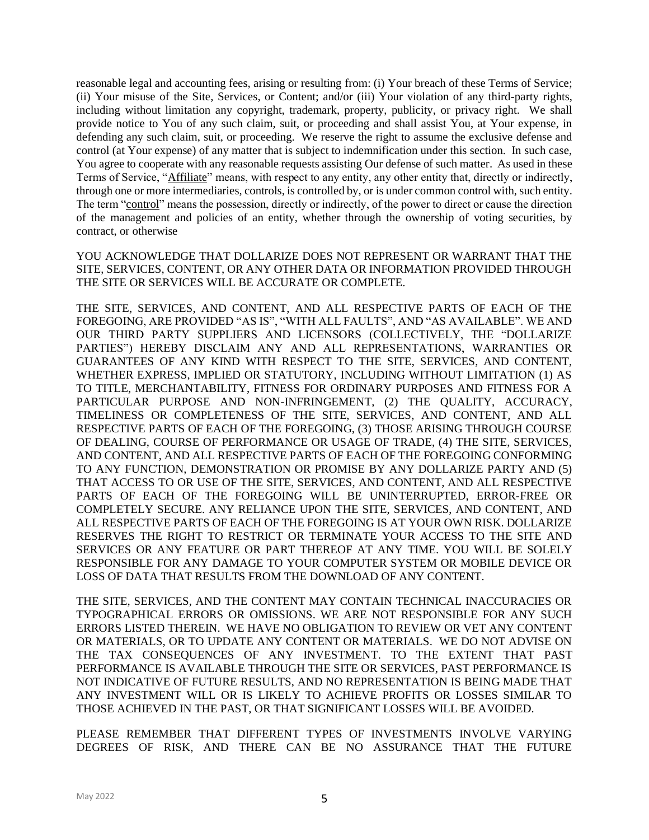reasonable legal and accounting fees, arising or resulting from: (i) Your breach of these Terms of Service; (ii) Your misuse of the Site, Services, or Content; and/or (iii) Your violation of any third-party rights, including without limitation any copyright, trademark, property, publicity, or privacy right. We shall provide notice to You of any such claim, suit, or proceeding and shall assist You, at Your expense, in defending any such claim, suit, or proceeding. We reserve the right to assume the exclusive defense and control (at Your expense) of any matter that is subject to indemnification under this section. In such case, You agree to cooperate with any reasonable requests assisting Our defense of such matter. As used in these Terms of Service, "Affiliate" means, with respect to any entity, any other entity that, directly or indirectly, through one or more intermediaries, controls, is controlled by, or is under common control with, such entity. The term "control" means the possession, directly or indirectly, of the power to direct or cause the direction of the management and policies of an entity, whether through the ownership of voting securities, by contract, or otherwise

YOU ACKNOWLEDGE THAT DOLLARIZE DOES NOT REPRESENT OR WARRANT THAT THE SITE, SERVICES, CONTENT, OR ANY OTHER DATA OR INFORMATION PROVIDED THROUGH THE SITE OR SERVICES WILL BE ACCURATE OR COMPLETE.

THE SITE, SERVICES, AND CONTENT, AND ALL RESPECTIVE PARTS OF EACH OF THE FOREGOING, ARE PROVIDED "AS IS", "WITH ALL FAULTS", AND "AS AVAILABLE". WE AND OUR THIRD PARTY SUPPLIERS AND LICENSORS (COLLECTIVELY, THE "DOLLARIZE PARTIES") HEREBY DISCLAIM ANY AND ALL REPRESENTATIONS, WARRANTIES OR GUARANTEES OF ANY KIND WITH RESPECT TO THE SITE, SERVICES, AND CONTENT, WHETHER EXPRESS, IMPLIED OR STATUTORY, INCLUDING WITHOUT LIMITATION (1) AS TO TITLE, MERCHANTABILITY, FITNESS FOR ORDINARY PURPOSES AND FITNESS FOR A PARTICULAR PURPOSE AND NON-INFRINGEMENT, (2) THE QUALITY, ACCURACY, TIMELINESS OR COMPLETENESS OF THE SITE, SERVICES, AND CONTENT, AND ALL RESPECTIVE PARTS OF EACH OF THE FOREGOING, (3) THOSE ARISING THROUGH COURSE OF DEALING, COURSE OF PERFORMANCE OR USAGE OF TRADE, (4) THE SITE, SERVICES, AND CONTENT, AND ALL RESPECTIVE PARTS OF EACH OF THE FOREGOING CONFORMING TO ANY FUNCTION, DEMONSTRATION OR PROMISE BY ANY DOLLARIZE PARTY AND (5) THAT ACCESS TO OR USE OF THE SITE, SERVICES, AND CONTENT, AND ALL RESPECTIVE PARTS OF EACH OF THE FOREGOING WILL BE UNINTERRUPTED, ERROR-FREE OR COMPLETELY SECURE. ANY RELIANCE UPON THE SITE, SERVICES, AND CONTENT, AND ALL RESPECTIVE PARTS OF EACH OF THE FOREGOING IS AT YOUR OWN RISK. DOLLARIZE RESERVES THE RIGHT TO RESTRICT OR TERMINATE YOUR ACCESS TO THE SITE AND SERVICES OR ANY FEATURE OR PART THEREOF AT ANY TIME. YOU WILL BE SOLELY RESPONSIBLE FOR ANY DAMAGE TO YOUR COMPUTER SYSTEM OR MOBILE DEVICE OR LOSS OF DATA THAT RESULTS FROM THE DOWNLOAD OF ANY CONTENT.

THE SITE, SERVICES, AND THE CONTENT MAY CONTAIN TECHNICAL INACCURACIES OR TYPOGRAPHICAL ERRORS OR OMISSIONS. WE ARE NOT RESPONSIBLE FOR ANY SUCH ERRORS LISTED THEREIN. WE HAVE NO OBLIGATION TO REVIEW OR VET ANY CONTENT OR MATERIALS, OR TO UPDATE ANY CONTENT OR MATERIALS. WE DO NOT ADVISE ON THE TAX CONSEQUENCES OF ANY INVESTMENT. TO THE EXTENT THAT PAST PERFORMANCE IS AVAILABLE THROUGH THE SITE OR SERVICES, PAST PERFORMANCE IS NOT INDICATIVE OF FUTURE RESULTS, AND NO REPRESENTATION IS BEING MADE THAT ANY INVESTMENT WILL OR IS LIKELY TO ACHIEVE PROFITS OR LOSSES SIMILAR TO THOSE ACHIEVED IN THE PAST, OR THAT SIGNIFICANT LOSSES WILL BE AVOIDED.

PLEASE REMEMBER THAT DIFFERENT TYPES OF INVESTMENTS INVOLVE VARYING DEGREES OF RISK, AND THERE CAN BE NO ASSURANCE THAT THE FUTURE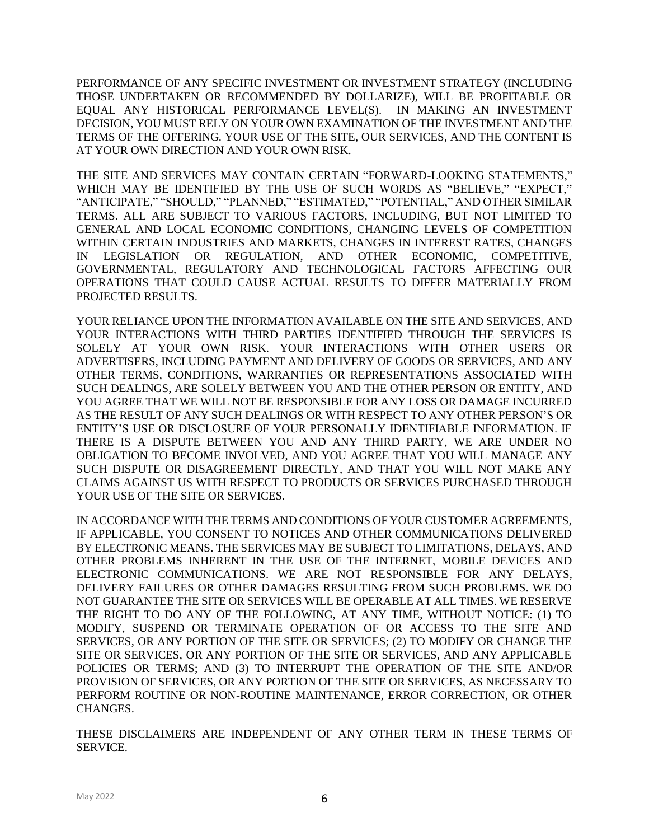PERFORMANCE OF ANY SPECIFIC INVESTMENT OR INVESTMENT STRATEGY (INCLUDING THOSE UNDERTAKEN OR RECOMMENDED BY DOLLARIZE), WILL BE PROFITABLE OR EQUAL ANY HISTORICAL PERFORMANCE LEVEL(S). IN MAKING AN INVESTMENT DECISION, YOU MUST RELY ON YOUR OWN EXAMINATION OF THE INVESTMENT AND THE TERMS OF THE OFFERING. YOUR USE OF THE SITE, OUR SERVICES, AND THE CONTENT IS AT YOUR OWN DIRECTION AND YOUR OWN RISK.

THE SITE AND SERVICES MAY CONTAIN CERTAIN "FORWARD-LOOKING STATEMENTS," WHICH MAY BE IDENTIFIED BY THE USE OF SUCH WORDS AS "BELIEVE," "EXPECT," "ANTICIPATE," "SHOULD," "PLANNED," "ESTIMATED," "POTENTIAL," AND OTHER SIMILAR TERMS. ALL ARE SUBJECT TO VARIOUS FACTORS, INCLUDING, BUT NOT LIMITED TO GENERAL AND LOCAL ECONOMIC CONDITIONS, CHANGING LEVELS OF COMPETITION WITHIN CERTAIN INDUSTRIES AND MARKETS, CHANGES IN INTEREST RATES, CHANGES IN LEGISLATION OR REGULATION, AND OTHER ECONOMIC, COMPETITIVE, GOVERNMENTAL, REGULATORY AND TECHNOLOGICAL FACTORS AFFECTING OUR OPERATIONS THAT COULD CAUSE ACTUAL RESULTS TO DIFFER MATERIALLY FROM PROJECTED RESULTS.

YOUR RELIANCE UPON THE INFORMATION AVAILABLE ON THE SITE AND SERVICES, AND YOUR INTERACTIONS WITH THIRD PARTIES IDENTIFIED THROUGH THE SERVICES IS SOLELY AT YOUR OWN RISK. YOUR INTERACTIONS WITH OTHER USERS OR ADVERTISERS, INCLUDING PAYMENT AND DELIVERY OF GOODS OR SERVICES, AND ANY OTHER TERMS, CONDITIONS, WARRANTIES OR REPRESENTATIONS ASSOCIATED WITH SUCH DEALINGS, ARE SOLELY BETWEEN YOU AND THE OTHER PERSON OR ENTITY, AND YOU AGREE THAT WE WILL NOT BE RESPONSIBLE FOR ANY LOSS OR DAMAGE INCURRED AS THE RESULT OF ANY SUCH DEALINGS OR WITH RESPECT TO ANY OTHER PERSON'S OR ENTITY'S USE OR DISCLOSURE OF YOUR PERSONALLY IDENTIFIABLE INFORMATION. IF THERE IS A DISPUTE BETWEEN YOU AND ANY THIRD PARTY, WE ARE UNDER NO OBLIGATION TO BECOME INVOLVED, AND YOU AGREE THAT YOU WILL MANAGE ANY SUCH DISPUTE OR DISAGREEMENT DIRECTLY, AND THAT YOU WILL NOT MAKE ANY CLAIMS AGAINST US WITH RESPECT TO PRODUCTS OR SERVICES PURCHASED THROUGH YOUR USE OF THE SITE OR SERVICES.

IN ACCORDANCE WITH THE TERMS AND CONDITIONS OF YOUR CUSTOMER AGREEMENTS, IF APPLICABLE, YOU CONSENT TO NOTICES AND OTHER COMMUNICATIONS DELIVERED BY ELECTRONIC MEANS. THE SERVICES MAY BE SUBJECT TO LIMITATIONS, DELAYS, AND OTHER PROBLEMS INHERENT IN THE USE OF THE INTERNET, MOBILE DEVICES AND ELECTRONIC COMMUNICATIONS. WE ARE NOT RESPONSIBLE FOR ANY DELAYS, DELIVERY FAILURES OR OTHER DAMAGES RESULTING FROM SUCH PROBLEMS. WE DO NOT GUARANTEE THE SITE OR SERVICES WILL BE OPERABLE AT ALL TIMES. WE RESERVE THE RIGHT TO DO ANY OF THE FOLLOWING, AT ANY TIME, WITHOUT NOTICE: (1) TO MODIFY, SUSPEND OR TERMINATE OPERATION OF OR ACCESS TO THE SITE AND SERVICES, OR ANY PORTION OF THE SITE OR SERVICES; (2) TO MODIFY OR CHANGE THE SITE OR SERVICES, OR ANY PORTION OF THE SITE OR SERVICES, AND ANY APPLICABLE POLICIES OR TERMS; AND (3) TO INTERRUPT THE OPERATION OF THE SITE AND/OR PROVISION OF SERVICES, OR ANY PORTION OF THE SITE OR SERVICES, AS NECESSARY TO PERFORM ROUTINE OR NON-ROUTINE MAINTENANCE, ERROR CORRECTION, OR OTHER CHANGES.

THESE DISCLAIMERS ARE INDEPENDENT OF ANY OTHER TERM IN THESE TERMS OF SERVICE.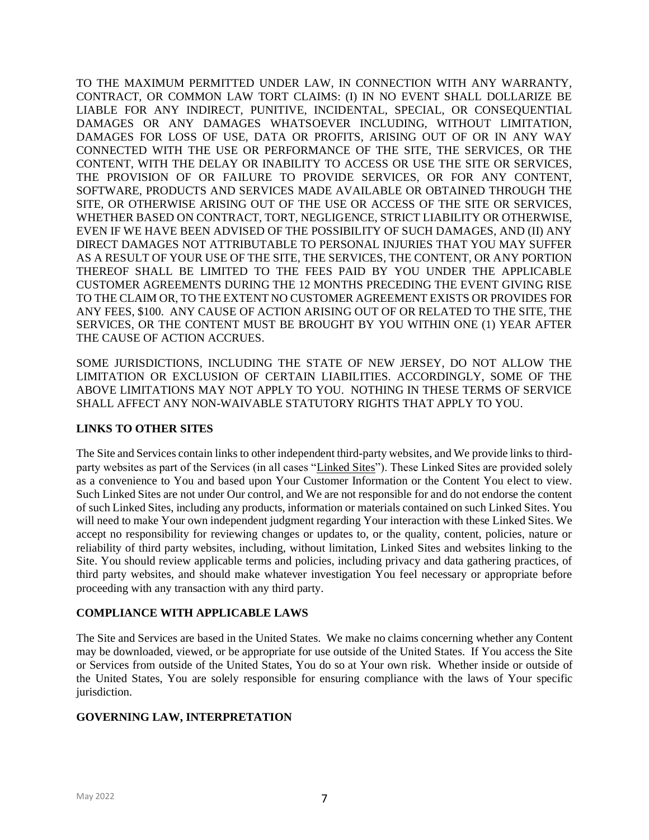TO THE MAXIMUM PERMITTED UNDER LAW, IN CONNECTION WITH ANY WARRANTY, CONTRACT, OR COMMON LAW TORT CLAIMS: (I) IN NO EVENT SHALL DOLLARIZE BE LIABLE FOR ANY INDIRECT, PUNITIVE, INCIDENTAL, SPECIAL, OR CONSEQUENTIAL DAMAGES OR ANY DAMAGES WHATSOEVER INCLUDING, WITHOUT LIMITATION, DAMAGES FOR LOSS OF USE, DATA OR PROFITS, ARISING OUT OF OR IN ANY WAY CONNECTED WITH THE USE OR PERFORMANCE OF THE SITE, THE SERVICES, OR THE CONTENT, WITH THE DELAY OR INABILITY TO ACCESS OR USE THE SITE OR SERVICES, THE PROVISION OF OR FAILURE TO PROVIDE SERVICES, OR FOR ANY CONTENT, SOFTWARE, PRODUCTS AND SERVICES MADE AVAILABLE OR OBTAINED THROUGH THE SITE, OR OTHERWISE ARISING OUT OF THE USE OR ACCESS OF THE SITE OR SERVICES, WHETHER BASED ON CONTRACT, TORT, NEGLIGENCE, STRICT LIABILITY OR OTHERWISE, EVEN IF WE HAVE BEEN ADVISED OF THE POSSIBILITY OF SUCH DAMAGES, AND (II) ANY DIRECT DAMAGES NOT ATTRIBUTABLE TO PERSONAL INJURIES THAT YOU MAY SUFFER AS A RESULT OF YOUR USE OF THE SITE, THE SERVICES, THE CONTENT, OR ANY PORTION THEREOF SHALL BE LIMITED TO THE FEES PAID BY YOU UNDER THE APPLICABLE CUSTOMER AGREEMENTS DURING THE 12 MONTHS PRECEDING THE EVENT GIVING RISE TO THE CLAIM OR, TO THE EXTENT NO CUSTOMER AGREEMENT EXISTS OR PROVIDES FOR ANY FEES, \$100. ANY CAUSE OF ACTION ARISING OUT OF OR RELATED TO THE SITE, THE SERVICES, OR THE CONTENT MUST BE BROUGHT BY YOU WITHIN ONE (1) YEAR AFTER THE CAUSE OF ACTION ACCRUES.

SOME JURISDICTIONS, INCLUDING THE STATE OF NEW JERSEY, DO NOT ALLOW THE LIMITATION OR EXCLUSION OF CERTAIN LIABILITIES. ACCORDINGLY, SOME OF THE ABOVE LIMITATIONS MAY NOT APPLY TO YOU. NOTHING IN THESE TERMS OF SERVICE SHALL AFFECT ANY NON-WAIVABLE STATUTORY RIGHTS THAT APPLY TO YOU.

### **LINKS TO OTHER SITES**

The Site and Services contain links to other independent third-party websites, and We provide links to thirdparty websites as part of the Services (in all cases "Linked Sites"). These Linked Sites are provided solely as a convenience to You and based upon Your Customer Information or the Content You elect to view. Such Linked Sites are not under Our control, and We are not responsible for and do not endorse the content of such Linked Sites, including any products, information or materials contained on such Linked Sites. You will need to make Your own independent judgment regarding Your interaction with these Linked Sites. We accept no responsibility for reviewing changes or updates to, or the quality, content, policies, nature or reliability of third party websites, including, without limitation, Linked Sites and websites linking to the Site. You should review applicable terms and policies, including privacy and data gathering practices, of third party websites, and should make whatever investigation You feel necessary or appropriate before proceeding with any transaction with any third party.

### **COMPLIANCE WITH APPLICABLE LAWS**

The Site and Services are based in the United States. We make no claims concerning whether any Content may be downloaded, viewed, or be appropriate for use outside of the United States. If You access the Site or Services from outside of the United States, You do so at Your own risk. Whether inside or outside of the United States, You are solely responsible for ensuring compliance with the laws of Your specific jurisdiction.

### **GOVERNING LAW, INTERPRETATION**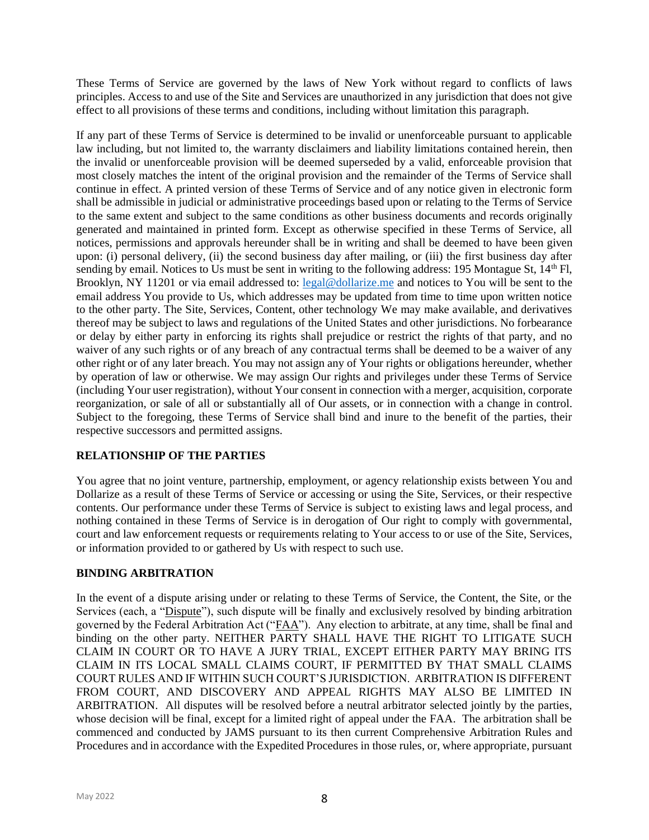These Terms of Service are governed by the laws of New York without regard to conflicts of laws principles. Access to and use of the Site and Services are unauthorized in any jurisdiction that does not give effect to all provisions of these terms and conditions, including without limitation this paragraph.

If any part of these Terms of Service is determined to be invalid or unenforceable pursuant to applicable law including, but not limited to, the warranty disclaimers and liability limitations contained herein, then the invalid or unenforceable provision will be deemed superseded by a valid, enforceable provision that most closely matches the intent of the original provision and the remainder of the Terms of Service shall continue in effect. A printed version of these Terms of Service and of any notice given in electronic form shall be admissible in judicial or administrative proceedings based upon or relating to the Terms of Service to the same extent and subject to the same conditions as other business documents and records originally generated and maintained in printed form. Except as otherwise specified in these Terms of Service, all notices, permissions and approvals hereunder shall be in writing and shall be deemed to have been given upon: (i) personal delivery, (ii) the second business day after mailing, or (iii) the first business day after sending by email. Notices to Us must be sent in writing to the following address: 195 Montague St, 14<sup>th</sup> Fl, Brooklyn, NY 11201 or via email addressed to: [legal@dollarize.me](mailto:legal@dollarize.me) and notices to You will be sent to the email address You provide to Us, which addresses may be updated from time to time upon written notice to the other party. The Site, Services, Content, other technology We may make available, and derivatives thereof may be subject to laws and regulations of the United States and other jurisdictions. No forbearance or delay by either party in enforcing its rights shall prejudice or restrict the rights of that party, and no waiver of any such rights or of any breach of any contractual terms shall be deemed to be a waiver of any other right or of any later breach. You may not assign any of Your rights or obligations hereunder, whether by operation of law or otherwise. We may assign Our rights and privileges under these Terms of Service (including Your user registration), without Your consent in connection with a merger, acquisition, corporate reorganization, or sale of all or substantially all of Our assets, or in connection with a change in control. Subject to the foregoing, these Terms of Service shall bind and inure to the benefit of the parties, their respective successors and permitted assigns.

# **RELATIONSHIP OF THE PARTIES**

You agree that no joint venture, partnership, employment, or agency relationship exists between You and Dollarize as a result of these Terms of Service or accessing or using the Site, Services, or their respective contents. Our performance under these Terms of Service is subject to existing laws and legal process, and nothing contained in these Terms of Service is in derogation of Our right to comply with governmental, court and law enforcement requests or requirements relating to Your access to or use of the Site, Services, or information provided to or gathered by Us with respect to such use.

### **BINDING ARBITRATION**

In the event of a dispute arising under or relating to these Terms of Service, the Content, the Site, or the Services (each, a "Dispute"), such dispute will be finally and exclusively resolved by binding arbitration governed by the Federal Arbitration Act ("FAA"). Any election to arbitrate, at any time, shall be final and binding on the other party. NEITHER PARTY SHALL HAVE THE RIGHT TO LITIGATE SUCH CLAIM IN COURT OR TO HAVE A JURY TRIAL, EXCEPT EITHER PARTY MAY BRING ITS CLAIM IN ITS LOCAL SMALL CLAIMS COURT, IF PERMITTED BY THAT SMALL CLAIMS COURT RULES AND IF WITHIN SUCH COURT'S JURISDICTION. ARBITRATION IS DIFFERENT FROM COURT, AND DISCOVERY AND APPEAL RIGHTS MAY ALSO BE LIMITED IN ARBITRATION. All disputes will be resolved before a neutral arbitrator selected jointly by the parties, whose decision will be final, except for a limited right of appeal under the FAA. The arbitration shall be commenced and conducted by JAMS pursuant to its then current Comprehensive Arbitration Rules and Procedures and in accordance with the Expedited Procedures in those rules, or, where appropriate, pursuant